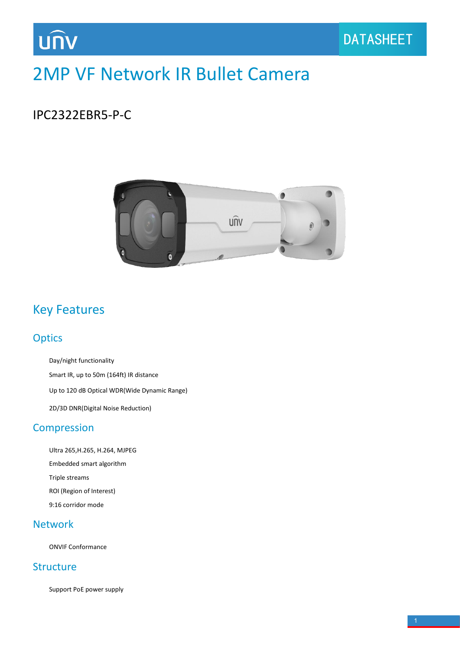## 2MP VF Network IR Bullet Camera

### IPC2322EBR5-P-C

UN



### Key Features

### **Optics**

Day/night functionality

Smart IR, up to 50m (164ft) IR distance

Up to 120 dB Optical WDR(Wide Dynamic Range)

2D/3D DNR(Digital Noise Reduction)

### Compression

Ultra 265,H.265, H.264, MJPEG Embedded smart algorithm Triple streams ROI (Region of Interest) 9:16 corridor mode

### Network

ONVIF Conformance

### **Structure**

Support PoE power supply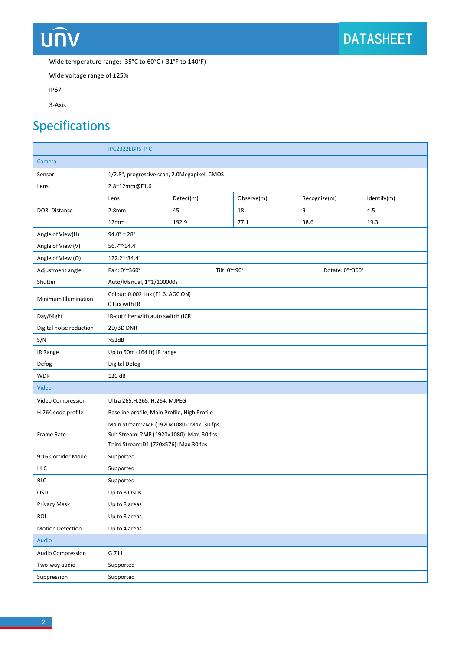## **UNV**

Wide temperature range: -35°C to 60°C (-31°F to 140°F)

Wide voltage range of ±25%

IP67

3-Axis

## Specifications

|                         | IPC2322EBR5-P-C                                                                                                                  |              |  |            |              |  |                 |  |
|-------------------------|----------------------------------------------------------------------------------------------------------------------------------|--------------|--|------------|--------------|--|-----------------|--|
| Camera                  |                                                                                                                                  |              |  |            |              |  |                 |  |
| Sensor                  | 1/2.8", progressive scan, 2.0Megapixel, CMOS                                                                                     |              |  |            |              |  |                 |  |
| Lens                    | 2.8~12mm@F1.6                                                                                                                    |              |  |            |              |  |                 |  |
| <b>DORI Distance</b>    | Lens                                                                                                                             | Detect(m)    |  | Observe(m) | Recognize(m) |  | Identify(m)     |  |
|                         | 2.8 <sub>mm</sub>                                                                                                                | 45           |  | 18         | 9            |  | 4.5             |  |
|                         | 12mm                                                                                                                             | 192.9        |  | 77.1       | 38.6         |  | 19.3            |  |
| Angle of View(H)        | $94.0^\circ$ ~ 28°                                                                                                               |              |  |            |              |  |                 |  |
| Angle of View (V)       | 56.7°~14.4°                                                                                                                      |              |  |            |              |  |                 |  |
| Angle of View (O)       | 122.2°~34.4°                                                                                                                     |              |  |            |              |  |                 |  |
| Adjustment angle        | Pan: 0°~360°                                                                                                                     | Tilt: 0°~90° |  |            |              |  | Rotate: 0°~360° |  |
| Shutter                 | Auto/Manual, 1~1/100000s                                                                                                         |              |  |            |              |  |                 |  |
| Minimum Illumination    | Colour: 0.002 Lux (F1.6, AGC ON)<br>0 Lux with IR                                                                                |              |  |            |              |  |                 |  |
| Day/Night               | IR-cut filter with auto switch (ICR)                                                                                             |              |  |            |              |  |                 |  |
| Digital noise reduction | 2D/3D DNR                                                                                                                        |              |  |            |              |  |                 |  |
| S/N                     | >52dB                                                                                                                            |              |  |            |              |  |                 |  |
| IR Range                | Up to 50m (164 ft) IR range                                                                                                      |              |  |            |              |  |                 |  |
| Defog                   | Digital Defog                                                                                                                    |              |  |            |              |  |                 |  |
| <b>WDR</b>              | 120 dB                                                                                                                           |              |  |            |              |  |                 |  |
| Video                   |                                                                                                                                  |              |  |            |              |  |                 |  |
| Video Compression       | Ultra 265, H.265, H.264, MJPEG                                                                                                   |              |  |            |              |  |                 |  |
| H.264 code profile      | Baseline profile, Main Profile, High Profile                                                                                     |              |  |            |              |  |                 |  |
| Frame Rate              | Main Stream: 2MP (1920×1080): Max. 30 fps;<br>Sub Stream: 2MP (1920×1080): Max. 30 fps;<br>Third Stream:D1 (720×576): Max.30 fps |              |  |            |              |  |                 |  |
| 9:16 Corridor Mode      | Supported                                                                                                                        |              |  |            |              |  |                 |  |
| <b>HLC</b>              | Supported                                                                                                                        |              |  |            |              |  |                 |  |
| <b>BLC</b>              | Supported                                                                                                                        |              |  |            |              |  |                 |  |
| OSD                     | Up to 8 OSDs                                                                                                                     |              |  |            |              |  |                 |  |
| Privacy Mask            | Up to 8 areas                                                                                                                    |              |  |            |              |  |                 |  |
| ROI                     | Up to 8 areas                                                                                                                    |              |  |            |              |  |                 |  |
| <b>Motion Detection</b> | Up to 4 areas                                                                                                                    |              |  |            |              |  |                 |  |
| Audio                   |                                                                                                                                  |              |  |            |              |  |                 |  |
| Audio Compression       | G.711                                                                                                                            |              |  |            |              |  |                 |  |
| Two-way audio           | Supported                                                                                                                        |              |  |            |              |  |                 |  |
| Suppression             | Supported                                                                                                                        |              |  |            |              |  |                 |  |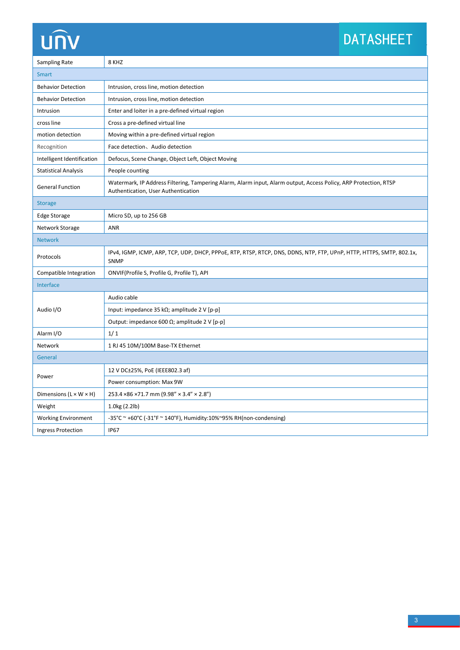# **UNV**

## DATASHEET

| Sampling Rate               | 8 KHZ                                                                                                                                                   |  |  |  |
|-----------------------------|---------------------------------------------------------------------------------------------------------------------------------------------------------|--|--|--|
| <b>Smart</b>                |                                                                                                                                                         |  |  |  |
| <b>Behavior Detection</b>   | Intrusion, cross line, motion detection                                                                                                                 |  |  |  |
| <b>Behavior Detection</b>   | Intrusion, cross line, motion detection                                                                                                                 |  |  |  |
| Intrusion                   | Enter and loiter in a pre-defined virtual region                                                                                                        |  |  |  |
| cross line                  | Cross a pre-defined virtual line                                                                                                                        |  |  |  |
| motion detection            | Moving within a pre-defined virtual region                                                                                                              |  |  |  |
| Recognition                 | Face detection, Audio detection                                                                                                                         |  |  |  |
| Intelligent Identification  | Defocus, Scene Change, Object Left, Object Moving                                                                                                       |  |  |  |
| <b>Statistical Analysis</b> | People counting                                                                                                                                         |  |  |  |
| <b>General Function</b>     | Watermark, IP Address Filtering, Tampering Alarm, Alarm input, Alarm output, Access Policy, ARP Protection, RTSP<br>Authentication, User Authentication |  |  |  |
| <b>Storage</b>              |                                                                                                                                                         |  |  |  |
| Edge Storage                | Micro SD, up to 256 GB                                                                                                                                  |  |  |  |
| Network Storage             | ANR                                                                                                                                                     |  |  |  |
| <b>Network</b>              |                                                                                                                                                         |  |  |  |
| Protocols                   | IPv4, IGMP, ICMP, ARP, TCP, UDP, DHCP, PPPoE, RTP, RTSP, RTCP, DNS, DDNS, NTP, FTP, UPnP, HTTP, HTTPS, SMTP, 802.1x,<br>SNMP                            |  |  |  |
| Compatible Integration      | ONVIF(Profile S, Profile G, Profile T), API                                                                                                             |  |  |  |
| Interface                   |                                                                                                                                                         |  |  |  |
| Audio I/O                   | Audio cable                                                                                                                                             |  |  |  |
|                             | Input: impedance 35 k $\Omega$ ; amplitude 2 V [p-p]                                                                                                    |  |  |  |
|                             | Output: impedance 600 $\Omega$ ; amplitude 2 V [p-p]                                                                                                    |  |  |  |
| Alarm I/O                   | 1/1                                                                                                                                                     |  |  |  |
| Network                     | 1 RJ 45 10M/100M Base-TX Ethernet                                                                                                                       |  |  |  |
| General                     |                                                                                                                                                         |  |  |  |
| Power                       | 12 V DC±25%, PoE (IEEE802.3 af)                                                                                                                         |  |  |  |
|                             | Power consumption: Max 9W                                                                                                                               |  |  |  |
| Dimensions (L × W × H)      | 253.4 × 86 × 71.7 mm (9.98" × 3.4" × 2.8")                                                                                                              |  |  |  |
| Weight                      | 1.0kg (2.2lb)                                                                                                                                           |  |  |  |
| <b>Working Environment</b>  | -35°C ~ +60°C (-31°F ~ 140°F), Humidity:10%~95% RH(non-condensing)                                                                                      |  |  |  |
| <b>Ingress Protection</b>   | <b>IP67</b>                                                                                                                                             |  |  |  |